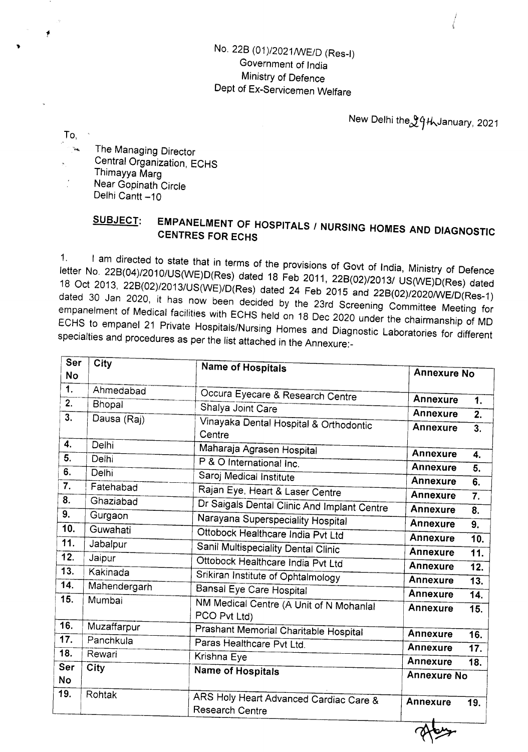.. No. <sup>228</sup> (01*)/20211WE/D* (Res-I) Government of India Ministry of Defence Dept of Ex-Servicemen Welfare

New Delhi the 94 H January, 2021

To,

The Managing Director Central Organization, ECHS Thimayya Marg Near Gopinath Circle Delhi Cantt -10

### SUBJECT: EMPANELMENT OF HOSPITALS *I* NURSING HOMES AND DIAGNOSTIC CENTRES FOR ECHS

1. I am directed to state that in terms of the provisions of Govt of India, Ministry of Defence letter No. *228(04)/2010/US(WE)D(Res)* dated 18 Feb 2011, *228(02)/20131* US(WE)D(Res) dated 18 Oct 2013, *228(02)/2013/US(WE)/D(Res)* dated 24 Feb 2015 and 22B(02)/2020IWE/D(Res-1) dated 30 Jan 2020, it has now been decided by the 23rd Screening Committee Meeting for empanelment of Medical facilities with ECHS held on 18 Dec 2020 under the chairmanship of MD ECHS to empanel 21 Private Hospitals/Nursing Homes and Diagnostic Laboratories for different specialties and procedures as per the list attached in the Annexure:-

| Ser<br>City<br><b>Name of Hospitals</b><br><b>No</b> |              |                                                           | <b>Annexure No</b>                 |                   |
|------------------------------------------------------|--------------|-----------------------------------------------------------|------------------------------------|-------------------|
| 1.                                                   | Ahmedabad    | Occura Eyecare & Research Centre                          |                                    |                   |
| 2.                                                   | Bhopal       | Shalya Joint Care                                         | <b>Annexure</b>                    | 1.                |
| 3.                                                   | Dausa (Raj)  | Vinayaka Dental Hospital & Orthodontic<br>Centre          | <b>Annexure</b><br><b>Annexure</b> | 2.<br>3.          |
| 4.                                                   | Delhi        | Maharaja Agrasen Hospital                                 |                                    |                   |
| 5.                                                   | Delhi        | P & O International Inc.                                  | <b>Annexure</b>                    | 4.                |
| 6.                                                   | Delhi        | Saroj Medical Institute                                   | <b>Annexure</b>                    | 5.                |
| 7.                                                   | Fatehabad    |                                                           | Annexure                           | 6.                |
| 8.                                                   | Ghaziabad    | Rajan Eye, Heart & Laser Centre                           | Annexure                           | 7.                |
| 9.                                                   | Gurgaon      | Dr Saigals Dental Clinic And Implant Centre               | <b>Annexure</b>                    | 8.                |
| 10.                                                  | Guwahati     | Narayana Superspeciality Hospital                         | <b>Annexure</b>                    | 9.                |
|                                                      |              | Ottobock Healthcare India Pvt Ltd                         | <b>Annexure</b>                    | 10.               |
| 11.                                                  | Jabalpur     | Sanil Multispeciality Dental Clinic                       | Annexure                           | $\overline{11}$ . |
| 12.                                                  | Jaipur       | Ottobock Healthcare India Pvt Ltd                         | Annexure                           | 12.               |
| 13.                                                  | Kakinada     | Srikiran Institute of Ophtalmology                        | Annexure                           | 13.               |
| 14.                                                  | Mahendergarh | Bansal Eye Care Hospital                                  | <b>Annexure</b>                    |                   |
| 15.                                                  | Mumbai       | NM Medical Centre (A Unit of N Mohanlal<br>PCO Pvt Ltd)   | Annexure                           | 14.<br>15.        |
| 16.                                                  | Muzaffarpur  | Prashant Memorial Charitable Hospital                     | Annexure                           | 16.               |
| 17.                                                  | Panchkula    | Paras Healthcare Pvt Ltd.                                 |                                    |                   |
| 18.                                                  | Rewari       | Krishna Eye                                               | Annexure                           | 17.               |
| Ser                                                  | City         | <b>Name of Hospitals</b>                                  | Annexure                           | 18.               |
| <b>No</b>                                            |              |                                                           | <b>Annexure No</b>                 |                   |
| 19.                                                  | Rohtak       | ARS Holy Heart Advanced Cardiac Care &<br>Research Centre | Annexure                           | 19.               |

 $\gamma$ ~/""'"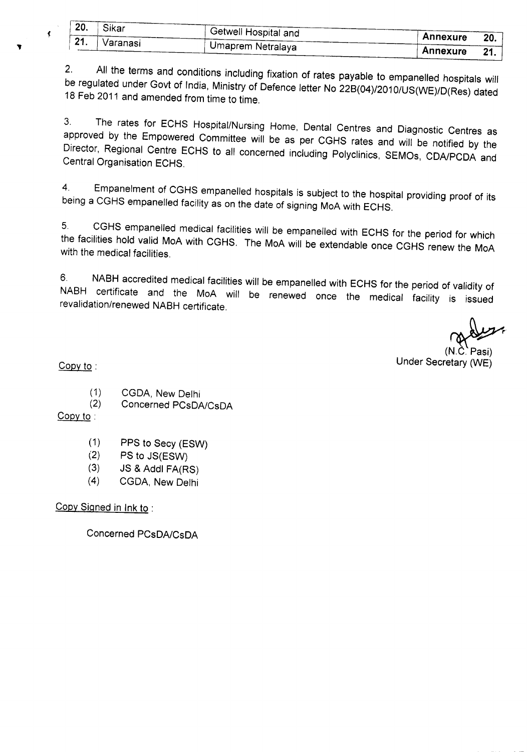| -20. | Sikar    |                      |          |      |
|------|----------|----------------------|----------|------|
| 21   | Varanasi | Getwell Hospital and | Annexure | -20. |
|      |          | Umaprem Netralaya    | Annexure | -94  |

2. All the terms and conditions including fixation of rates payable to empanelled hospitals will be regulated under Govt of India, Ministry of Defence letter No 22B(04)/2010/US(WE)/D(Res) dated 18 Feb 2011 and amended from time to time.

3. The rates for ECHS Hospital/Nursing Home, Dental Centres and Diagnostic Centres as approved by the Empowered Committee will be as per CGHS rates and will be notified by the Director, Regional Centre ECHS to all concerned including Polyclinics, SEMOs, CDAlPCDA and Central Organisation ECHS.

4. Empanelment of CGHS empanelled hospitals is subject to the hospital providing proof of its being a CGHS empanelled facility as on the date of signing MoA with ECHS.

5. CGHS empanelled medical facilities will be empanelled with ECHS for the period for which the facilities hold valid MoA with CGHS. The MoA will be extendable once CGHS renew the MoA with the medical facilities.

6. NABH accredited medical facilities will be empanelled with ECHS for the period of validity of NABH certificate and the MoA will be renewed once the medical facility is issued revalidation/renewed NABH certificate.

 $(N<sup>2</sup>)$ Under Secretary (WE)

Copy to:

.,

 $\overline{\mathbf{r}}$ 

- (1) CGDA, New Delhi
- (2) Concerned PCsDAlCsDA

Copy to:

- (1) PPS to Secy (ESW)
- (2) PS to JS(ESW)
- $(3)$  JS & Addl FA $(RS)$
- (4) CGDA, New Delhi

Copy Signed in Ink to :

Concerned PCsDA/CsDA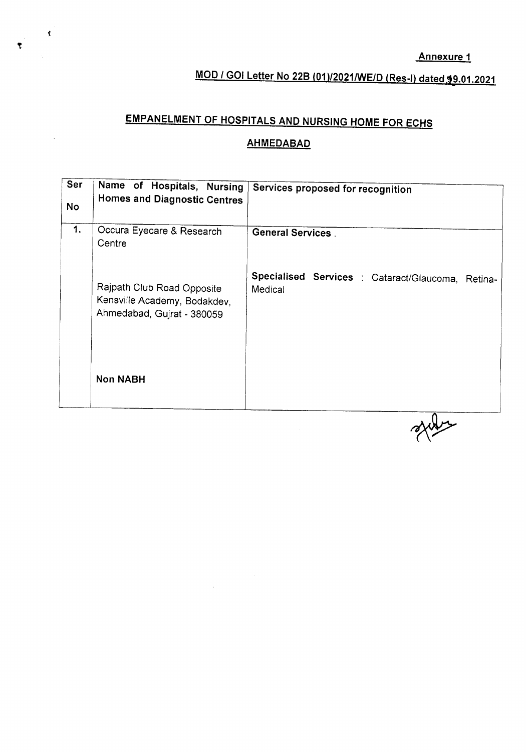# <u>MOD / GOI Letter No 22B (01)/2021/WE/D (Res-I) dated 99.01.2021</u>

# EMPANELMENT OF HOSPITALS AND NURSING HOME FOR ECHS

 $\mathbf{r}$ 

 $\overline{\mathbf{Y}}$ 

### AHMEDABAD

| Ser<br>Name of Hospitals, Nursing<br><b>Homes and Diagnostic Centres</b><br><b>No</b> |                                                                                          | Services proposed for recognition                            |
|---------------------------------------------------------------------------------------|------------------------------------------------------------------------------------------|--------------------------------------------------------------|
| 1.                                                                                    | Occura Eyecare & Research<br>Centre                                                      | <b>General Services</b> .                                    |
|                                                                                       | Rajpath Club Road Opposite<br>Kensville Academy, Bodakdev,<br>Ahmedabad, Gujrat - 380059 | Specialised Services : Cataract/Glaucoma, Retina-<br>Medical |
|                                                                                       | <b>Non NABH</b>                                                                          |                                                              |

sules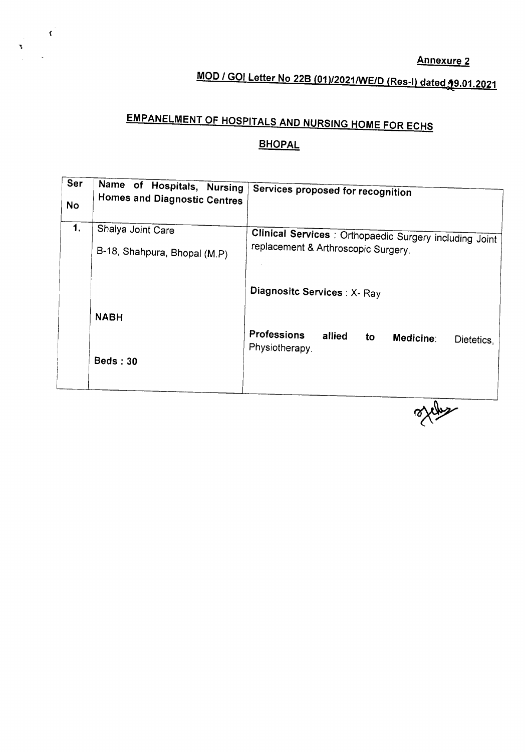# MOD / GOI Letter No 22B (01)/2021/WE/D (Res-I) dated **1**9.01.2021

# EMPANELMENT OF HOSPITALS AND NURSING HOME FOR ECHS

 $\mathcal{L}$ 

 $\sim$ 

 $\bar{\mathbf{r}}$ 

### BHOPAL

| Ser<br><b>No</b> | Name of Hospitals, Nursing<br><b>Homes and Diagnostic Centres</b> | Services proposed for recognition                                                                     |
|------------------|-------------------------------------------------------------------|-------------------------------------------------------------------------------------------------------|
| 1.               | Shalya Joint Care<br>B-18, Shahpura, Bhopal (M.P)                 | <b>Clinical Services</b> : Orthopaedic Surgery including Joint<br>replacement & Arthroscopic Surgery. |
|                  |                                                                   | Diagnositc Services : X- Ray                                                                          |
|                  | <b>NABH</b>                                                       |                                                                                                       |
|                  | <b>Beds: 30</b>                                                   | Professions<br>allied<br>to<br>Medicine:<br>Dietetics,<br>Physiotherapy.                              |
|                  |                                                                   |                                                                                                       |

afelys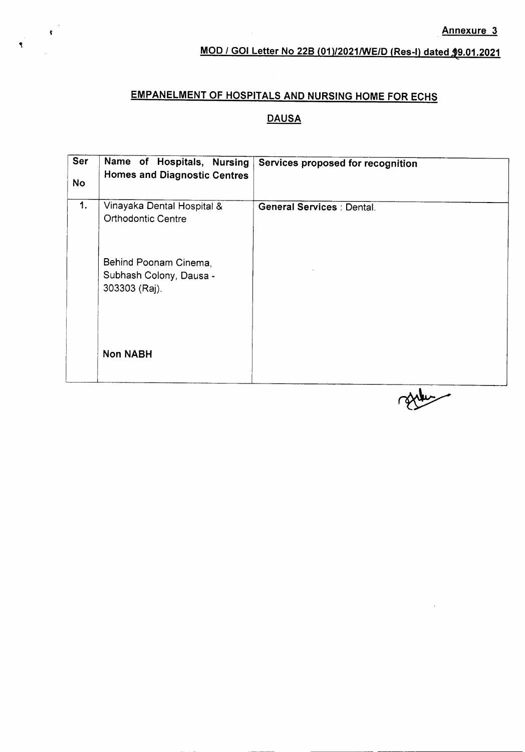### **MOD** *I* **GOI Letter No 22B (01***)/20211WE/D* **(Res-I) dated J9.01.2021** ..

### **EMPANELMENT OF HOSPITALS AND NURSING HOME FOR ECHS**

 $\frac{1}{\sqrt{2}}$ 

#### **DAUSA**

| Ser<br>No | Name of Hospitals, Nursing<br><b>Homes and Diagnostic Centres</b> | Services proposed for recognition |
|-----------|-------------------------------------------------------------------|-----------------------------------|
| 1.        | Vinayaka Dental Hospital &<br>Orthodontic Centre                  | General Services : Dental.        |
|           | Behind Poonam Cinema,<br>Subhash Colony, Dausa -<br>303303 (Raj). |                                   |
|           | <b>Non NABH</b>                                                   |                                   |

resten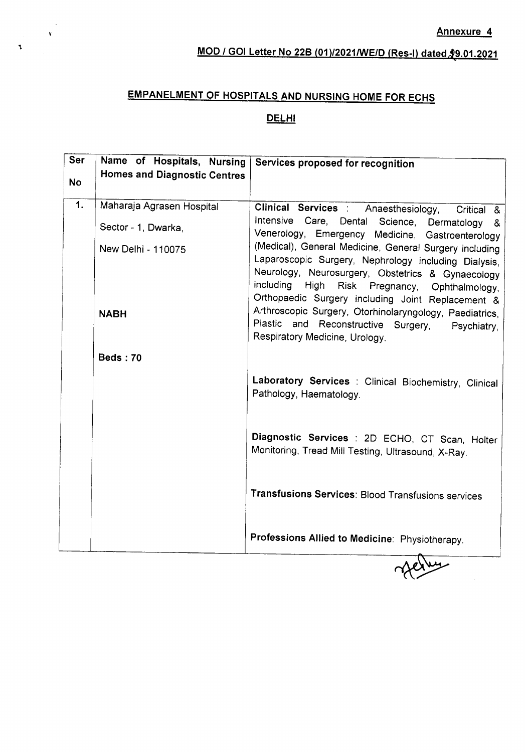### MOD *I* GOI Letter No 22B (01)/2021IWE/D (Res-I) dated'9.01.2021 <

# EMPANELMENT OF HOSPITALS AND NURSING HOME FOR ECHS

 $\mathbf{v}$ 

 $\bar{\mathbf{Y}}$ 

### DELHI

| Ser       | Name of Hospitals, Nursing<br><b>Homes and Diagnostic Centres</b> | Services proposed for recognition                                                                                                                                                                                                                                         |
|-----------|-------------------------------------------------------------------|---------------------------------------------------------------------------------------------------------------------------------------------------------------------------------------------------------------------------------------------------------------------------|
| <b>No</b> |                                                                   |                                                                                                                                                                                                                                                                           |
| 1.        | Maharaja Agrasen Hospital                                         | Clinical Services : Anaesthesiology,<br>Critical &                                                                                                                                                                                                                        |
|           | Sector - 1, Dwarka,                                               | Intensive Care, Dental Science, Dermatology &<br>Venerology, Emergency Medicine, Gastroenterology                                                                                                                                                                         |
|           | New Delhi - 110075                                                | (Medical), General Medicine, General Surgery including<br>Laparoscopic Surgery, Nephrology including Dialysis,<br>Neurology, Neurosurgery, Obstetrics & Gynaecology<br>including High Risk Pregnancy, Ophthalmology,<br>Orthopaedic Surgery including Joint Replacement & |
|           | <b>NABH</b>                                                       | Arthroscopic Surgery, Otorhinolaryngology, Paediatrics,<br>Plastic and Reconstructive Surgery,<br>Psychiatry,<br>Respiratory Medicine, Urology.                                                                                                                           |
|           | <b>Beds: 70</b>                                                   |                                                                                                                                                                                                                                                                           |
|           |                                                                   | Laboratory Services : Clinical Biochemistry, Clinical<br>Pathology, Haematology.                                                                                                                                                                                          |
|           |                                                                   | Diagnostic Services : 2D ECHO, CT Scan, Holter<br>Monitoring, Tread Mill Testing, Ultrasound, X-Ray.                                                                                                                                                                      |
|           |                                                                   | Transfusions Services: Blood Transfusions services                                                                                                                                                                                                                        |
|           |                                                                   | Professions Allied to Medicine: Physiotherapy.                                                                                                                                                                                                                            |

Jerus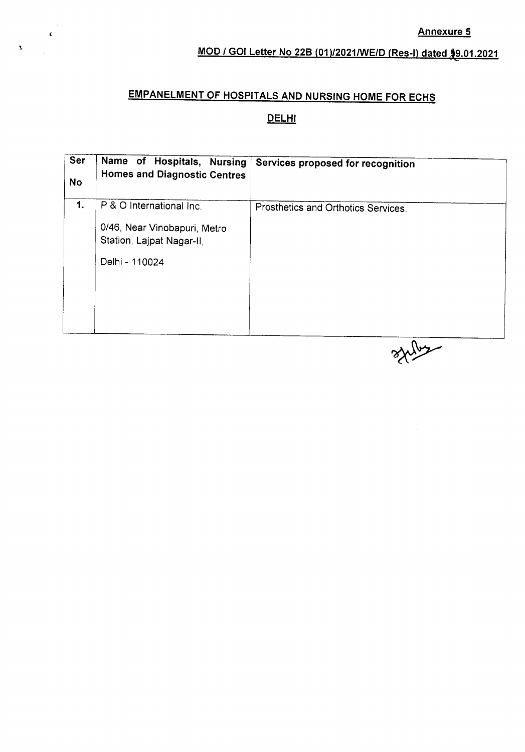# **MOD** *I* **GOI Letter No 228 (01)/20211WE/D(Res-I) dated** ~9.01.2021 e

# **EMPANELMENT OF HOSPITALS AND NURSING HOME FOR ECHS**

,

 $\hat{\mathbf{r}}$ 

### **DELHI**

| <b>Ser</b><br>No | Name of Hospitals, Nursing<br><b>Homes and Diagnostic Centres</b>                                       | Services proposed for recognition   |  |
|------------------|---------------------------------------------------------------------------------------------------------|-------------------------------------|--|
| 1.               | P & O International Inc.<br>0/46, Near Vinobapuri, Metro<br>Station, Lajpat Nagar-II,<br>Delhi - 110024 | Prosthetics and Orthotics Services. |  |

stiller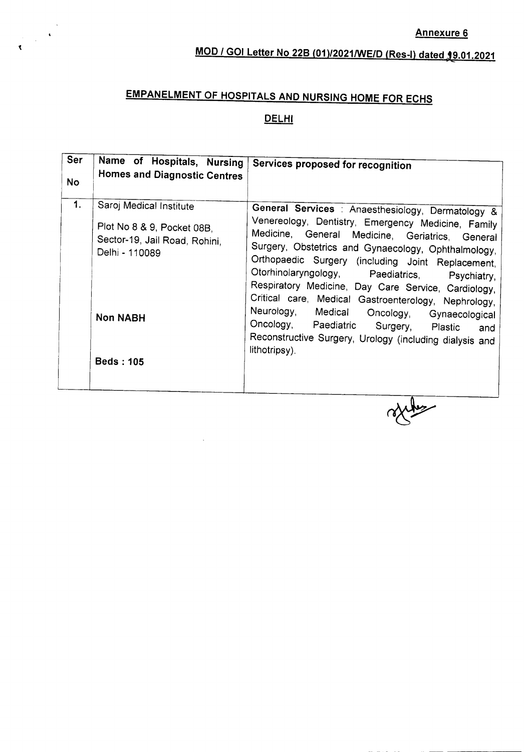### **MOD** *I* **GOI Letter No 22B (01***)/20211WE/D* **(Res-I) dated 39.01.2021** c

# **EMPANELMENT OF HOSPITALS AND NURSING HOME FOR ECHS**

 $\bar{\mathbf{t}}$ 

#### **DELHI**

| <b>Ser</b><br><b>No</b> | Name of Hospitals, Nursing<br><b>Homes and Diagnostic Centres</b>                                                                               | Services proposed for recognition                                                                                                                                                                                                                                                                                                                                                                                                                                                                                                                                                                              |
|-------------------------|-------------------------------------------------------------------------------------------------------------------------------------------------|----------------------------------------------------------------------------------------------------------------------------------------------------------------------------------------------------------------------------------------------------------------------------------------------------------------------------------------------------------------------------------------------------------------------------------------------------------------------------------------------------------------------------------------------------------------------------------------------------------------|
| 1.                      | Saroj Medical Institute<br>Plot No 8 & 9, Pocket 08B,<br>Sector-19, Jail Road, Rohini,<br>Delhi - 110089<br><b>Non NABH</b><br><b>Beds: 105</b> | General Services : Anaesthesiology, Dermatology &<br>Venereology, Dentistry, Emergency Medicine, Family<br>Medicine, General Medicine, Geriatrics, General<br>Surgery, Obstetrics and Gynaecology, Ophthalmology,<br>Orthopaedic Surgery (including Joint Replacement,<br>Otorhinolaryngology, Paediatrics, Psychiatry,<br>Respiratory Medicine, Day Care Service, Cardiology,<br>Critical care, Medical Gastroenterology, Nephrology,<br>Neurology, Medical Oncology, Gynaecological<br>Oncology, Paediatric Surgery, Plastic and<br>Reconstructive Surgery, Urology (including dialysis and<br>lithotripsy). |
|                         |                                                                                                                                                 |                                                                                                                                                                                                                                                                                                                                                                                                                                                                                                                                                                                                                |

arthur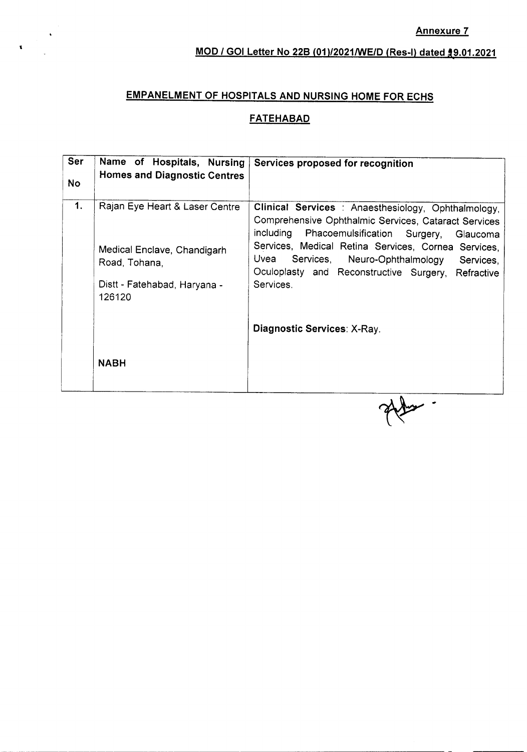### **MOD** *I* **GOI Letter No 22B (01***)/20211WE/D* **(Res-I) dated 39.01.2021**

### **EMPANELMENT OF HOSPITALS AND NURSING HOME FOR ECHS**

 $\mathbf{t}$ 

 $\hat{\mathbf{v}}$ 

#### **FATEHABAD**

| Ser<br><b>No</b> | Name of Hospitals, Nursing<br><b>Homes and Diagnostic Centres</b>                                                                       | Services proposed for recognition                                                                                                                                                                                                                                                                                                                                                         |
|------------------|-----------------------------------------------------------------------------------------------------------------------------------------|-------------------------------------------------------------------------------------------------------------------------------------------------------------------------------------------------------------------------------------------------------------------------------------------------------------------------------------------------------------------------------------------|
| 1.               | Rajan Eye Heart & Laser Centre<br>Medical Enclave, Chandigarh<br>Road, Tohana,<br>Distt - Fatehabad, Haryana -<br>126120<br><b>NABH</b> | Clinical Services: Anaesthesiology, Ophthalmology,<br>Comprehensive Ophthalmic Services, Cataract Services<br><i>including</i><br>Phacoemulsification Surgery,<br>Glaucoma<br>Services, Medical Retina Services, Cornea Services,<br>Uvea<br>Services, Neuro-Ophthalmology<br>Services,<br>Oculoplasty and Reconstructive Surgery, Refractive<br>Services:<br>Diagnostic Services: X-Ray. |

offer.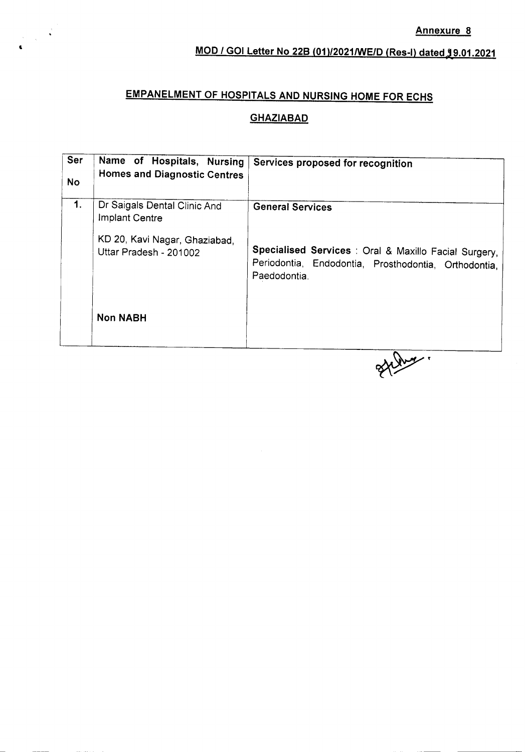# **MOD** *I* **GOI Letter No 22B** *(01)/2021IWEID* **(Res-I) datedJ9.01.2021**

# **EMPANELMENT OF HOSPITALS AND NURSING HOME FOR ECHS**

 $\bullet$ 

#### **GHAZIABAD**

| Ser<br><b>No</b> | Name of Hospitals, Nursing<br><b>Homes and Diagnostic Centres</b> | Services proposed for recognition                                                                                             |
|------------------|-------------------------------------------------------------------|-------------------------------------------------------------------------------------------------------------------------------|
| $\mathbf{1}$ .   | Dr Saigals Dental Clinic And<br><b>Implant Centre</b>             | <b>General Services</b>                                                                                                       |
|                  | KD 20, Kavi Nagar, Ghaziabad,<br>Uttar Pradesh - 201002           | Specialised Services : Oral & Maxillo Facial Surgery,<br>Periodontia, Endodontia, Prosthodontia, Orthodontia,<br>Paedodontia. |
|                  | <b>Non NABH</b>                                                   |                                                                                                                               |

steller.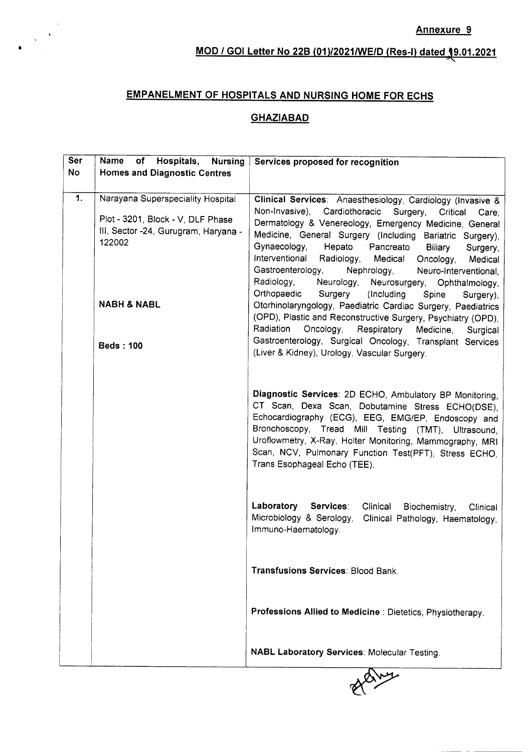### MOD *I* GOI Letter No 22B (01*)/20211WEID* (Res-I) dated 19.01.2021  $\ddot{\phantom{0}}$

### EMPANELMENT OF HOSPITALS AND NURSING HOME FOR ECHS

•

 $\hat{\textbf{v}}$  $\frac{1}{2}$ 

### **GHAZIABAD**

| <b>Ser</b><br>Name of Hospitals, Nursing            | Services proposed for recognition                                                                                 |
|-----------------------------------------------------|-------------------------------------------------------------------------------------------------------------------|
| <b>No</b><br><b>Homes and Diagnostic Centres</b>    |                                                                                                                   |
|                                                     |                                                                                                                   |
| $\mathbf{1}$ .<br>Narayana Superspeciality Hospital | Clinical Services: Anaesthesiology, Cardiology (Invasive &                                                        |
| Plot - 3201, Block - V, DLF Phase                   | Non-Invasive), Cardiothoracic Surgery, Critical Care,                                                             |
| III, Sector -24, Gurugram, Haryana -                | Dermatology & Venereology, Emergency Medicine, General                                                            |
| 122002                                              | Medicine, General Surgery (Including Bariatric Surgery),                                                          |
|                                                     | Gynaecology,<br>Hepato Pancreato<br>Biliary<br>Surgery,<br>Interventional<br>Radiology, Medical<br>Oncology,      |
|                                                     | Medical<br>Gastroenterology,<br>Nephrology,<br>Neuro-Interventional,                                              |
|                                                     | Radiology,<br>Neurology, Neurosurgery, Ophthalmology,                                                             |
|                                                     | Orthopaedic<br>Surgery<br>(Including<br>Spine<br>Surgery),                                                        |
| <b>NABH &amp; NABL</b>                              | Otorhinolaryngology, Paediatric Cardiac Surgery, Paediatrics                                                      |
|                                                     | (OPD), Plastic and Reconstructive Surgery, Psychiatry (OPD),                                                      |
|                                                     | Radiation Oncology,<br>Respiratory<br>Medicine,<br>Surgical                                                       |
| <b>Beds: 100</b>                                    | Gastroenterology, Surgical Oncology, Transplant Services<br>(Liver & Kidney), Urology, Vascular Surgery.          |
|                                                     |                                                                                                                   |
|                                                     |                                                                                                                   |
|                                                     | Diagnostic Services: 2D ECHO, Ambulatory BP Monitoring,                                                           |
|                                                     | CT Scan, Dexa Scan, Dobutamine Stress ECHO(DSE),                                                                  |
|                                                     | Echocardiography (ECG), EEG, EMG/EP, Endoscopy and                                                                |
|                                                     | Bronchoscopy, Tread Mill Testing (TMT), Ultrasound,                                                               |
|                                                     | Uroflowmetry, X-Ray, Holter Monitoring, Mammography, MRI<br>Scan, NCV, Pulmonary Function Test(PFT), Stress ECHO, |
|                                                     | Trans Esophageal Echo (TEE).                                                                                      |
|                                                     |                                                                                                                   |
|                                                     |                                                                                                                   |
|                                                     | Laboratory<br><b>Services:</b><br>Clinical Biochemistry,<br>Clinical                                              |
|                                                     | Microbiology & Serology,<br>Clinical Pathology, Haematology,                                                      |
|                                                     | Immuno-Haematology.                                                                                               |
|                                                     |                                                                                                                   |
|                                                     |                                                                                                                   |
|                                                     | Transfusions Services: Blood Bank.                                                                                |
|                                                     |                                                                                                                   |
|                                                     | Professions Allied to Medicine: Dietetics, Physiotherapy.                                                         |
|                                                     |                                                                                                                   |
|                                                     |                                                                                                                   |
|                                                     |                                                                                                                   |



-- -----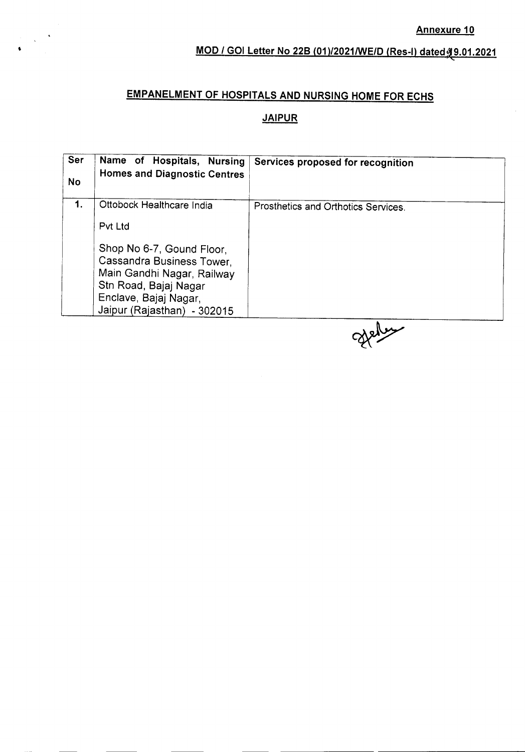# **MOD** *I* **GOI Letter No 228 (01***)/20211WE/D* **(Res-I) dated ~ 9.01.2021** '-

# **EMPANELMENT OF HOSPITALS AND NURSING HOME FOR ECHS**

 $\frac{1}{\sqrt{2}}\left(\frac{1}{\sqrt{2}}\right)^{2}$ 

### **JAIPUR**

| Ser<br><b>No</b> | Name of Hospitals, Nursing<br><b>Homes and Diagnostic Centres</b>                                                                                                                                             | Services proposed for recognition   |  |
|------------------|---------------------------------------------------------------------------------------------------------------------------------------------------------------------------------------------------------------|-------------------------------------|--|
| 1.               | Ottobock Healthcare India<br>Pvt Ltd<br>Shop No 6-7, Gound Floor,<br>Cassandra Business Tower.<br>Main Gandhi Nagar, Railway<br>Stn Road, Bajaj Nagar<br>Enclave, Bajaj Nagar,<br>Jaipur (Rajasthan) - 302015 | Prosthetics and Orthotics Services. |  |

gleden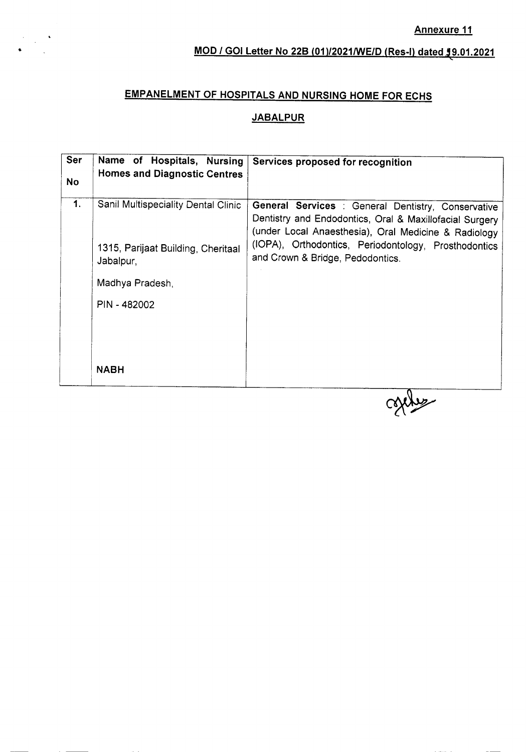# **MOD** *I* **GOI Letter No 22B** *(01)/2021IWEID* **(Res-I) dated '9.01.2021** <

### **EMPANELMENT OF HOSPITALS AND NURSING HOME FOR ECHS**

#### **JABALPUR**

| Ser<br>No      | Name of Hospitals, Nursing<br><b>Homes and Diagnostic Centres</b>         | Services proposed for recognition                                                                                                                                                                                             |
|----------------|---------------------------------------------------------------------------|-------------------------------------------------------------------------------------------------------------------------------------------------------------------------------------------------------------------------------|
| $\mathbf{1}$ . | Sanil Multispeciality Dental Clinic<br>1315, Parijaat Building, Cheritaal | General Services : General Dentistry, Conservative<br>Dentistry and Endodontics, Oral & Maxillofacial Surgery<br>(under Local Anaesthesia), Oral Medicine & Radiology<br>(IOPA), Orthodontics, Periodontology, Prosthodontics |
|                | Jabalpur,<br>Madhya Pradesh,                                              | and Crown & Bridge, Pedodontics.                                                                                                                                                                                              |
|                | PIN - 482002                                                              |                                                                                                                                                                                                                               |
|                | <b>NABH</b>                                                               | n.                                                                                                                                                                                                                            |

contes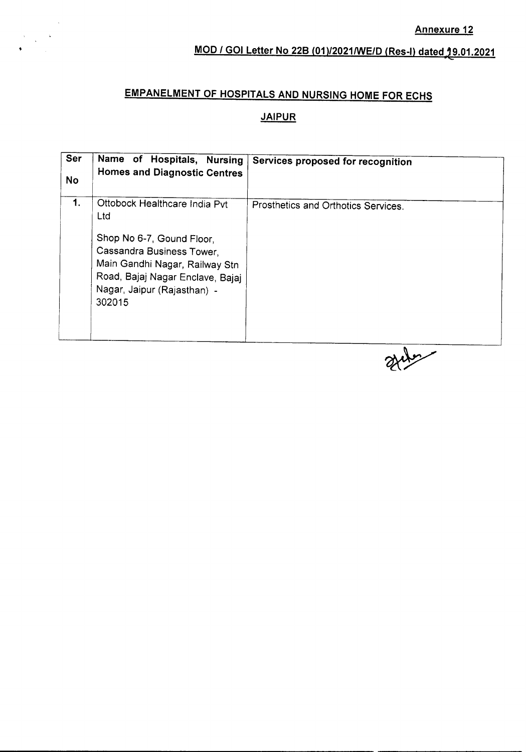# **MOD** *I* **GOI Letter** No. **228 (01***)/20211WEID* **(Res-I) dated t9.01.2021**

# **EMPANELMENT OF HOSPITALS AND NURSING HOME FOR ECHS**

 $\frac{1}{2} \sum_{i=1}^{n} \frac{1}{2} \sum_{i=1}^{n} \frac{1}{2} \sum_{i=1}^{n} \frac{1}{2} \sum_{i=1}^{n} \frac{1}{2} \sum_{i=1}^{n} \frac{1}{2} \sum_{i=1}^{n} \frac{1}{2} \sum_{i=1}^{n} \frac{1}{2} \sum_{i=1}^{n} \frac{1}{2} \sum_{i=1}^{n} \frac{1}{2} \sum_{i=1}^{n} \frac{1}{2} \sum_{i=1}^{n} \frac{1}{2} \sum_{i=1}^{n} \frac{1}{2} \sum_{i=1}^{n$ 

### **JAIPUR**

| Ser<br><b>No</b> | Name of Hospitals, Nursing<br><b>Homes and Diagnostic Centres</b>                                                                                                                                             | Services proposed for recognition   |
|------------------|---------------------------------------------------------------------------------------------------------------------------------------------------------------------------------------------------------------|-------------------------------------|
| 1.               | Ottobock Healthcare India Pvt<br>Ltd<br>Shop No 6-7, Gound Floor,<br>Cassandra Business Tower,<br>Main Gandhi Nagar, Railway Stn<br>Road, Bajaj Nagar Enclave, Bajaj<br>Nagar, Jaipur (Rajasthan) -<br>302015 | Prosthetics and Orthotics Services. |

Hile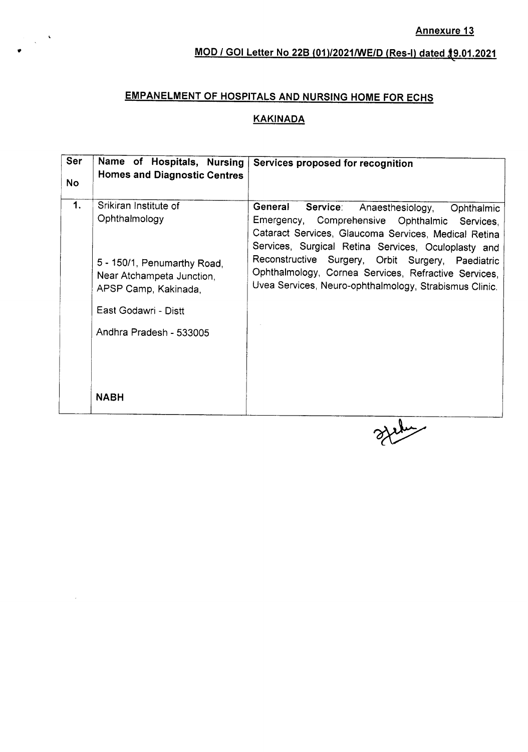### **MOD** *I* **GOI Letter No 22B (01***)/20211WE/D* **(Res-I) dated 19.01.2021** c

### **EMPANELMENT OF HOSPITALS AND NURSING HOME FOR ECHS**

 $\bar{\mathcal{A}}$ 

### **KAKINADA**

| <b>Ser</b><br><b>No</b> | Name of Hospitals, Nursing<br><b>Homes and Diagnostic Centres</b>                                                                                                             | Services proposed for recognition                                                                                                                                                                                                                                                                                                                                                         |
|-------------------------|-------------------------------------------------------------------------------------------------------------------------------------------------------------------------------|-------------------------------------------------------------------------------------------------------------------------------------------------------------------------------------------------------------------------------------------------------------------------------------------------------------------------------------------------------------------------------------------|
| 1.                      | Srikiran Institute of<br>Ophthalmology<br>5 - 150/1, Penumarthy Road,<br>Near Atchampeta Junction,<br>APSP Camp, Kakinada,<br>East Godawri - Distt<br>Andhra Pradesh - 533005 | General Service:<br>Anaesthesiology,<br>Ophthalmic<br>Emergency, Comprehensive Ophthalmic Services,<br>Cataract Services, Glaucoma Services, Medical Retina<br>Services, Surgical Retina Services, Oculoplasty and<br>Reconstructive Surgery, Orbit Surgery, Paediatric<br>Ophthalmology, Cornea Services, Refractive Services,<br>Uvea Services, Neuro-ophthalmology, Strabismus Clinic. |
|                         | <b>NABH</b>                                                                                                                                                                   |                                                                                                                                                                                                                                                                                                                                                                                           |

stehen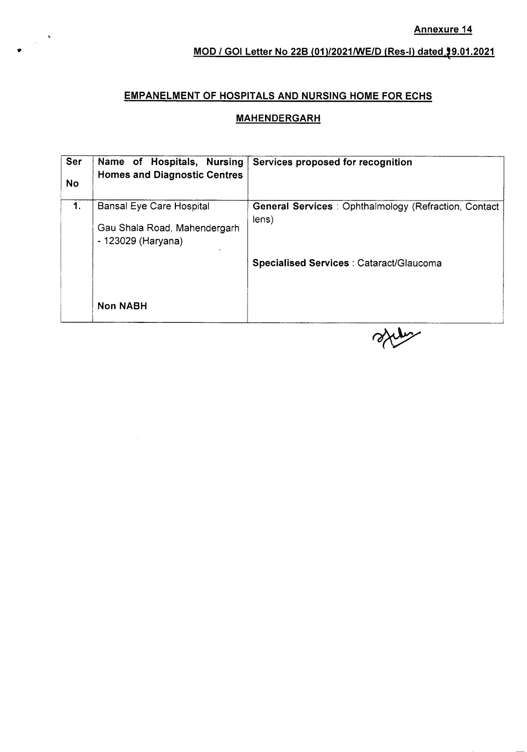### **MOD** *I* **GOI Letter No 22B** *(01)/2021IWE/D* **(Res-I) dated.t9.01.2021**

### **EMPANELMENT OF HOSPITALS AND NURSING HOME FOR ECHS**

 $\sim 10^6$ 

#### **MAHENDERGARH**

| Ser<br><b>No</b> | Name of Hospitals, Nursing<br><b>Homes and Diagnostic Centres</b>              | Services proposed for recognition                              |
|------------------|--------------------------------------------------------------------------------|----------------------------------------------------------------|
| 1.               | Bansal Eye Care Hospital<br>Gau Shala Road, Mahendergarh<br>- 123029 (Haryana) | General Services : Ophthalmology (Refraction, Contact<br>lens) |
|                  | <b>Non NABH</b>                                                                | Specialised Services : Cataract/Glaucoma                       |

stehen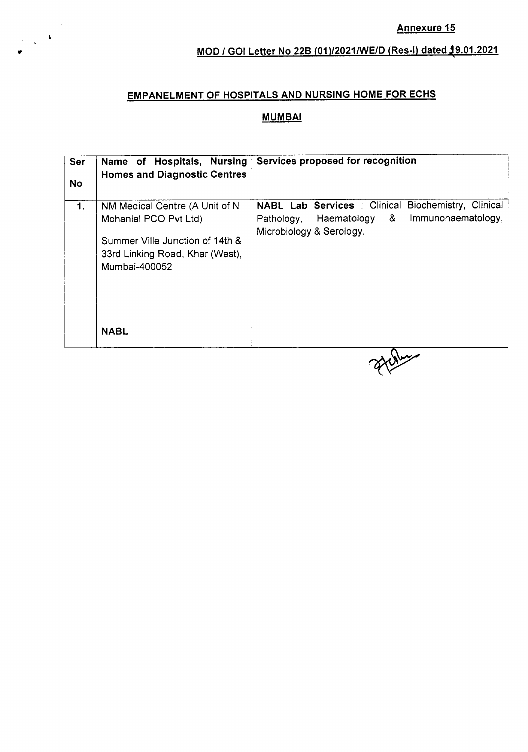### **MOD** / GOI Letter No 22B (01)/2021/WE/D (Res-I) dated 19.01.2021

### **EMPANELMENT OF HOSPITALS AND NURSING HOME FOR ECHS**

 $\sim$ 

 $\frac{1}{2} \left( \frac{1}{2} \right)^{2}$ 

### **MUMBAI**

| Ser<br><b>No</b> | Name of Hospitals, Nursing<br><b>Homes and Diagnostic Centres</b>                                                                              | Services proposed for recognition                                                                                                           |
|------------------|------------------------------------------------------------------------------------------------------------------------------------------------|---------------------------------------------------------------------------------------------------------------------------------------------|
| 1.               | NM Medical Centre (A Unit of N<br>Mohanial PCO Pvt Ltd)<br>Summer Ville Junction of 14th &<br>33rd Linking Road, Khar (West),<br>Mumbai-400052 | <b>NABL Lab Services</b> : Clinical Biochemistry, Clinical<br>Immunohaematology,<br>Haematology &<br>Pathology,<br>Microbiology & Serology. |
|                  | <b>NABL</b>                                                                                                                                    | <sup>n</sup>                                                                                                                                |

gregne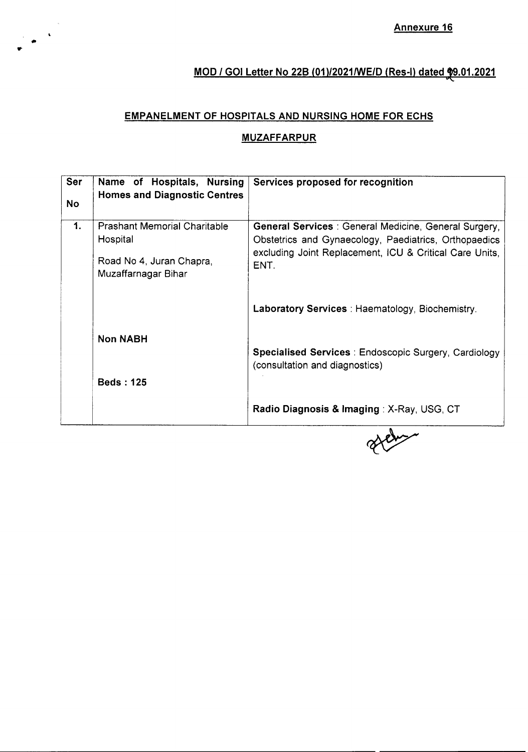# MOD / GOI Letter No 22B (01)/2021/WE/D (Res-I) dated **9**9.01.2021

#### EMPANELMENT OF HOSPITALS AND NURSING HOME FOR ECHS

 $\sim$ 

 $\frac{1}{2} \sum_{i=1}^{n} \frac{1}{i} \sum_{i=1}^{n} \frac{1}{i} \sum_{i=1}^{n} \frac{1}{i} \sum_{i=1}^{n} \frac{1}{i} \sum_{i=1}^{n} \frac{1}{i} \sum_{i=1}^{n} \frac{1}{i} \sum_{i=1}^{n} \frac{1}{i} \sum_{i=1}^{n} \frac{1}{i} \sum_{i=1}^{n} \frac{1}{i} \sum_{i=1}^{n} \frac{1}{i} \sum_{i=1}^{n} \frac{1}{i} \sum_{i=1}^{n} \frac{1}{i} \sum_{i=1}^{n$ 

### MUZAFFARPUR

| Ser<br><b>No</b> | Name of Hospitals, Nursing<br><b>Homes and Diagnostic Centres</b>                                  | Services proposed for recognition                                                                                                                                                   |
|------------------|----------------------------------------------------------------------------------------------------|-------------------------------------------------------------------------------------------------------------------------------------------------------------------------------------|
| 1.               | <b>Prashant Memorial Charitable</b><br>Hospital<br>Road No 4, Juran Chapra,<br>Muzaffarnagar Bihar | General Services : General Medicine, General Surgery,  <br>Obstetrics and Gynaecology, Paediatrics, Orthopaedics<br>excluding Joint Replacement, ICU & Critical Care Units,<br>ENT. |
|                  |                                                                                                    | Laboratory Services : Haematology, Biochemistry.                                                                                                                                    |
|                  | <b>Non NABH</b><br><b>Beds: 125</b>                                                                | <b>Specialised Services: Endoscopic Surgery, Cardiology</b><br>(consultation and diagnostics)                                                                                       |
|                  |                                                                                                    | Radio Diagnosis & Imaging: X-Ray, USG, CT                                                                                                                                           |

green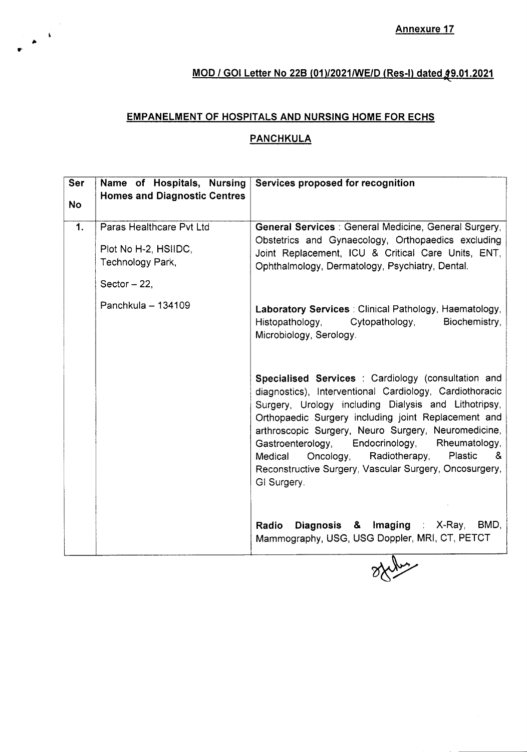### **MOD** / GOI Letter No 22B (01)/2021/WE/D (Res-I) dated  $29.01.2021$

#### **EMPANELMENT OF HOSPITALS AND NURSING HOME FOR ECHS**

 $\hat{\boldsymbol{\beta}}$ 

 $\frac{1}{\sqrt{2\pi}}\sum_{i=1}^{N}$ 

#### **PANCHKULA**

| Ser       | Name of Hospitals, Nursing          | Services proposed for recognition                                                                                                                                                                                                                                                                                                                                                                                                                                      |
|-----------|-------------------------------------|------------------------------------------------------------------------------------------------------------------------------------------------------------------------------------------------------------------------------------------------------------------------------------------------------------------------------------------------------------------------------------------------------------------------------------------------------------------------|
|           | <b>Homes and Diagnostic Centres</b> |                                                                                                                                                                                                                                                                                                                                                                                                                                                                        |
| <b>No</b> |                                     |                                                                                                                                                                                                                                                                                                                                                                                                                                                                        |
| 1.        | Paras Healthcare Pvt Ltd            | General Services : General Medicine, General Surgery,                                                                                                                                                                                                                                                                                                                                                                                                                  |
|           | Plot No H-2, HSIIDC,                | Obstetrics and Gynaecology, Orthopaedics excluding<br>Joint Replacement, ICU & Critical Care Units, ENT,                                                                                                                                                                                                                                                                                                                                                               |
|           | Technology Park,                    | Ophthalmology, Dermatology, Psychiatry, Dental.                                                                                                                                                                                                                                                                                                                                                                                                                        |
|           | Sector $-22$ ,                      |                                                                                                                                                                                                                                                                                                                                                                                                                                                                        |
|           | Panchkula - 134109                  | Laboratory Services : Clinical Pathology, Haematology,<br>Histopathology, Cytopathology,<br>Biochemistry,<br>Microbiology, Serology.                                                                                                                                                                                                                                                                                                                                   |
|           |                                     | Specialised Services : Cardiology (consultation and<br>diagnostics), Interventional Cardiology, Cardiothoracic<br>Surgery, Urology including Dialysis and Lithotripsy,<br>Orthopaedic Surgery including joint Replacement and<br>arthroscopic Surgery, Neuro Surgery, Neuromedicine,<br>Gastroenterology, Endocrinology, Rheumatology,<br>Plastic<br>Oncology, Radiotherapy,<br>Medical<br>-&<br>Reconstructive Surgery, Vascular Surgery, Oncosurgery,<br>GI Surgery. |
|           |                                     | Diagnosis & Imaging<br>BMD.<br>X-Ray,<br>Radio<br>Mammography, USG, USG Doppler, MRI, CT, PETCT                                                                                                                                                                                                                                                                                                                                                                        |

 $rac{1}{\sqrt[3]{2}}$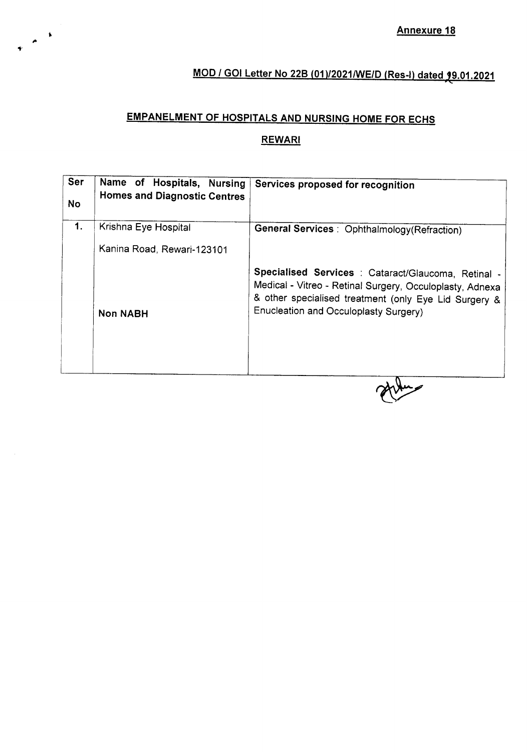# MOD *I* GOI Letter No 22B *(01)/2021IWEID* (Res-I) dated '9.01.2021 "-

# EMPANELMENT OF HOSPITALS AND NURSING HOME FOR ECHS

 $\begin{array}{c} \begin{array}{c} \bullet \\ \bullet \end{array} \end{array}$ 

#### **REWARI**

| Ser<br><b>No</b> | Name of Hospitals, Nursing<br><b>Homes and Diagnostic Centres</b> | Services proposed for recognition                                                                                                                                                                                       |
|------------------|-------------------------------------------------------------------|-------------------------------------------------------------------------------------------------------------------------------------------------------------------------------------------------------------------------|
| 1.               | Krishna Eye Hospital<br>Kanina Road, Rewari-123101                | General Services : Ophthalmology(Refraction)                                                                                                                                                                            |
|                  | <b>Non NABH</b>                                                   | Specialised Services : Cataract/Glaucoma, Retinal -<br>Medical - Vitreo - Retinal Surgery, Occuloplasty, Adnexa<br>& other specialised treatment (only Eye Lid Surgery &<br>Enucleation and Occuloplasty Surgery)<br>n. |

Arture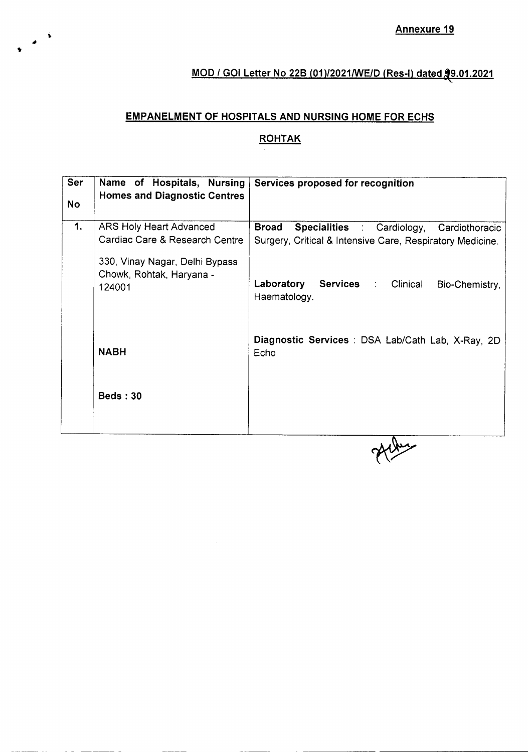# **MOD** *I* **GOI Letter No 22B** *(01)/2021IWE/D* **(Res-I) datedV.01.2021** '-

### **EMPANELMENT OF HOSPITALS AND NURSING HOME FOR ECHS**

 $\frac{1}{\sqrt{2}}$ 

#### **ROHTAK**

| Ser       | Name of Hospitals, Nursing<br><b>Homes and Diagnostic Centres</b>                                                                 | Services proposed for recognition                                                                                                                                                                    |
|-----------|-----------------------------------------------------------------------------------------------------------------------------------|------------------------------------------------------------------------------------------------------------------------------------------------------------------------------------------------------|
| <b>No</b> |                                                                                                                                   |                                                                                                                                                                                                      |
| 1.        | ARS Holy Heart Advanced<br>Cardiac Care & Research Centre<br>330, Vinay Nagar, Delhi Bypass<br>Chowk, Rohtak, Haryana -<br>124001 | <b>Broad</b><br>Specialities : Cardiology, Cardiothoracic<br>Surgery, Critical & Intensive Care, Respiratory Medicine.<br>Laboratory<br><b>Services : Clinical</b><br>Bio-Chemistry,<br>Haematology. |
|           | <b>NABH</b>                                                                                                                       | Diagnostic Services : DSA Lab/Cath Lab, X-Ray, 2D<br>Echo                                                                                                                                            |
|           | <b>Beds: 30</b>                                                                                                                   | V                                                                                                                                                                                                    |

Albert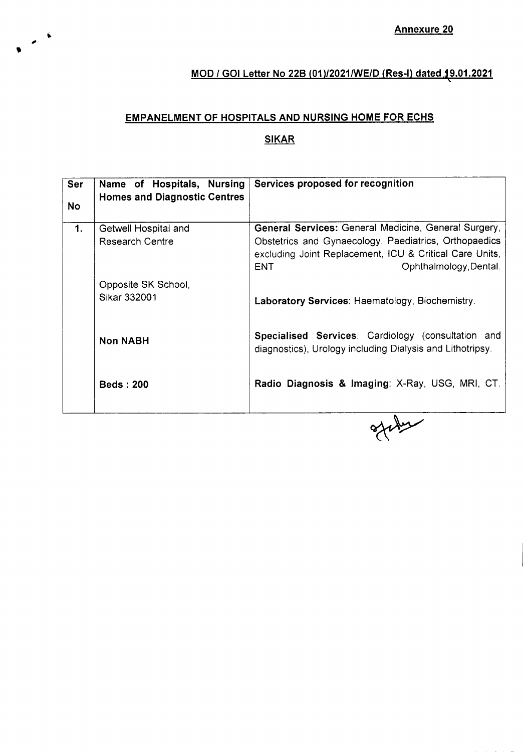### <u>MOD / GOI Letter No 22B (01)/2021/WE/D (Res-I) dated 19.01.2021</u>

### EMPANELMENT OF HOSPITALS AND NURSING HOME FOR ECHS

 $\frac{1}{2}$ 

#### SIKAR

| <b>Ser</b><br><b>No</b> | Name of Hospitals, Nursing<br><b>Homes and Diagnostic Centres</b> | Services proposed for recognition                                                                                                                                                                                |
|-------------------------|-------------------------------------------------------------------|------------------------------------------------------------------------------------------------------------------------------------------------------------------------------------------------------------------|
| 1.                      | Getwell Hospital and<br><b>Research Centre</b>                    | General Services: General Medicine, General Surgery,<br>Obstetrics and Gynaecology, Paediatrics, Orthopaedics<br>excluding Joint Replacement, ICU & Critical Care Units,<br>Ophthalmology, Dental.<br><b>ENT</b> |
|                         | Opposite SK School,<br>Sikar 332001                               | Laboratory Services: Haematology, Biochemistry.                                                                                                                                                                  |
|                         | <b>Non NABH</b>                                                   | Specialised Services: Cardiology (consultation and<br>diagnostics), Urology including Dialysis and Lithotripsy.                                                                                                  |
|                         | <b>Beds: 200</b>                                                  | Radio Diagnosis & Imaging: X-Ray, USG, MRI, CT.                                                                                                                                                                  |

ofthe